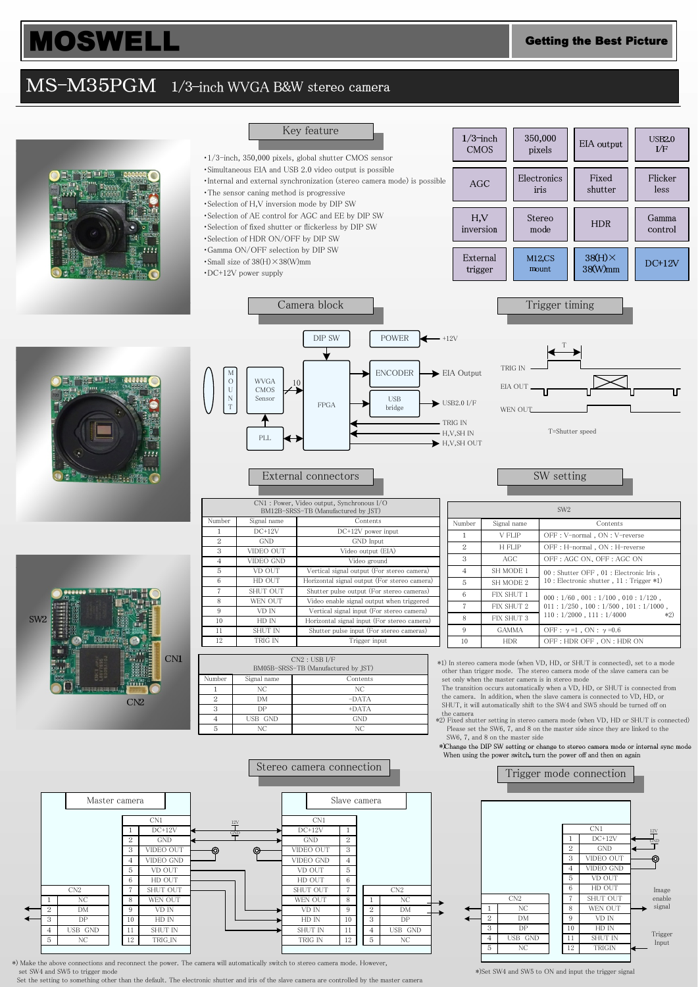## MS-M35PGM 1/3-inch WVGA B&W stereo camera



\*) Make the above connections and reconnect the power. The camera will automatically switch to stereo camera mode. However, set SW4 and SW5 to trigger mode

Set the setting to something other than the default. The electronic shutter and iris of the slave camera are controlled by the master camera

\*)Set SW4 and SW5 to ON and input the trigger signal